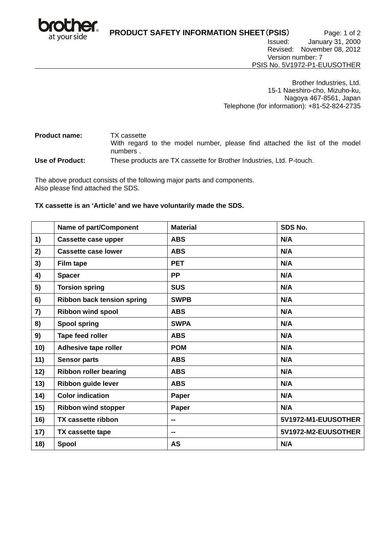

**PRODUCT SAFETY INFORMATION SHEET**(**PSIS**) Page: 1 of 2 Issued: January 31, 2000 Revised: November 08, 2012 Version number: 7

PSIS No. 5V1972-P1-EUUSOTHER

Brother Industries, Ltd. 15-1 Naeshiro-cho, Mizuho-ku, Nagoya 467-8561, Japan Telephone (for information): +81-52-824-2735

**Product name:** TX cassette With regard to the model number, please find attached the list of the model numbers .

**Use of Product:** These products are TX cassette for Brother Industries, Ltd. P-touch.

The above product consists of the following major parts and components. Also please find attached the SDS.

### **TX cassette is an 'Article' and we have voluntarily made the SDS.**

|     | Name of part/Component            | <b>Material</b> | SDS No.             |
|-----|-----------------------------------|-----------------|---------------------|
| 1)  | <b>Cassette case upper</b>        | <b>ABS</b>      | N/A                 |
| 2)  | <b>Cassette case lower</b>        | <b>ABS</b>      | N/A                 |
| 3)  | <b>Film tape</b>                  | <b>PET</b>      | N/A                 |
| 4)  | <b>Spacer</b>                     | <b>PP</b>       | N/A                 |
| 5)  | <b>Torsion spring</b>             | <b>SUS</b>      | N/A                 |
| 6)  | <b>Ribbon back tension spring</b> | <b>SWPB</b>     | N/A                 |
| 7)  | <b>Ribbon wind spool</b>          | <b>ABS</b>      | N/A                 |
| 8)  | <b>Spool spring</b>               | <b>SWPA</b>     | N/A                 |
| 9)  | Tape feed roller                  | <b>ABS</b>      | N/A                 |
| 10) | Adhesive tape roller              | <b>POM</b>      | N/A                 |
| 11) | <b>Sensor parts</b>               | <b>ABS</b>      | N/A                 |
| 12) | <b>Ribbon roller bearing</b>      | <b>ABS</b>      | N/A                 |
| 13) | Ribbon guide lever                | <b>ABS</b>      | N/A                 |
| 14) | <b>Color indication</b>           | Paper           | N/A                 |
| 15) | <b>Ribbon wind stopper</b>        | Paper           | N/A                 |
| 16) | <b>TX cassette ribbon</b>         |                 | 5V1972-M1-EUUSOTHER |
| 17) | TX cassette tape                  | --              | 5V1972-M2-EUUSOTHER |
| 18) | Spool                             | <b>AS</b>       | N/A                 |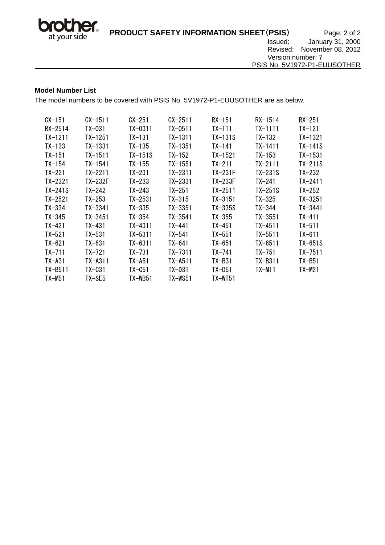

## **Model Number List**

The model numbers to be covered with PSIS No. 5V1972-P1-EUUSOTHER are as below.

| $CX-151$   | $CX-1511$   | CX-251     | $CX-2511$   | $RX-151$   | $RX - 1514$ | $RX-251$   |
|------------|-------------|------------|-------------|------------|-------------|------------|
| RX-2514    | TX-031      | TX-0311    | TX-0511     | TX-111     | TX-1111     | TX-121     |
| $TX-1211$  | TX-1251     | $TX-131$   | TX-1311     | TX-131S    | $TX-132$    | TX-1321    |
| $TX-133$   | TX-1331     | $TX-135$   | TX-1351     | $TX-141$   | $TX-1411$   | TX-141S    |
| $TX-151$   | $TX - 1511$ | TX-151S    | $TX-152$    | TX-1521    | TX-153      | TX-1531    |
| $TX-154$   | TX-1541     | TX-155     | TX-1551     | TX-211     | TX-2111     | $TX-211S$  |
| $TX-221$   | TX-2211     | $TX-231$   | $TX-2311$   | TX-231F    | $TX-231S$   | TX-232     |
| TX-2321    | TX-232F     | TX-233     | TX-2331     | TX-233F    | TX-241      | $TX-2411$  |
| TX-241S    | TX-242      | TX-243     | $TX-251$    | TX-2511    | TX-251S     | TX-252     |
| $TX-2521$  | TX-253      | $TX-2531$  | $TX-315$    | $TX-3151$  | $TX-325$    | $TX-3251$  |
| $TX-334$   | TX-3341     | TX-335     | TX-3351     | TX-335S    | TX-344      | $TX-3441$  |
| $TX-345$   | $TX-3451$   | $TX-354$   | $TX-3541$   | $TX-355$   | $TX-3551$   | $TX-411$   |
| $TX-421$   | $TX-431$    | $TX-4311$  | $TX-441$    | $TX-451$   | $TX-4511$   | $TX-511$   |
| $TX-521$   | $TX-531$    | $TX-5311$  | $TX-541$    | $TX-551$   | $TX-5511$   | $TX-611$   |
| $TX-621$   | TX-631      | $TX-6311$  | $TX-641$    | $TX-651$   | $TX-6511$   | TX-651S    |
| $TX-711$   | TX-721      | $TX-731$   | $TX-7311$   | $TX-741$   | $TX-751$    | $TX-7511$  |
| $TX - A31$ | TX-A311     | $TX - A51$ | $TX - A511$ | $TX - B31$ | TX-B311     | $TX - B51$ |
| TX-B511    | TX-C31      | TX-C51     | TX-D31      | TX-D51     | $TX-M11$    | TX-M21     |
| TX-M51     | TX-SE5      | TX-WB51    | TX-WS51     | TX-WT51    |             |            |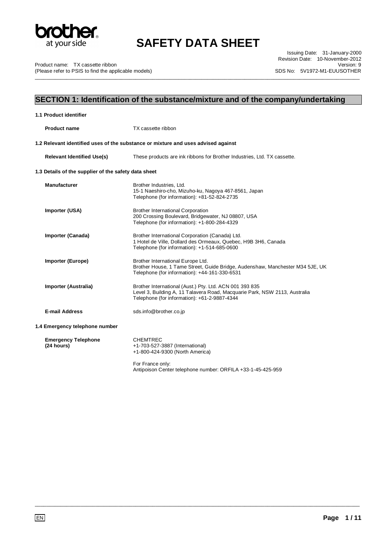

\_\_\_\_\_\_\_\_\_\_\_\_\_\_\_\_\_\_\_\_\_\_\_\_\_\_\_\_\_\_\_\_\_\_\_\_\_\_\_\_\_\_\_\_\_\_\_\_\_\_\_\_\_\_\_\_\_\_\_\_\_\_\_\_\_\_\_\_\_\_\_\_\_\_\_\_\_\_\_\_\_\_\_\_\_\_\_\_\_\_\_\_\_\_\_\_\_\_\_\_\_\_\_\_\_\_\_\_\_\_\_\_\_

Product name: TX cassette ribbon (Please refer to PSIS to find the applicable models)

Issuing Date: 31-January-2000 Revision Date: 10-November-2012 Version: 9 SDS No: 5V1972-M1-EUUSOTHER

## **SECTION 1: Identification of the substance/mixture and of the company/undertaking**

| 1.1 Product identifier                               |                                                                                                                                                                                       |
|------------------------------------------------------|---------------------------------------------------------------------------------------------------------------------------------------------------------------------------------------|
| <b>Product name</b>                                  | TX cassette ribbon                                                                                                                                                                    |
|                                                      | 1.2 Relevant identified uses of the substance or mixture and uses advised against                                                                                                     |
| <b>Relevant Identified Use(s)</b>                    | These products are ink ribbons for Brother Industries, Ltd. TX cassette.                                                                                                              |
| 1.3 Details of the supplier of the safety data sheet |                                                                                                                                                                                       |
| <b>Manufacturer</b>                                  | Brother Industries, Ltd.<br>15-1 Naeshiro-cho, Mizuho-ku, Nagoya 467-8561, Japan<br>Telephone (for information): +81-52-824-2735                                                      |
| Importer (USA)                                       | <b>Brother International Corporation</b><br>200 Crossing Boulevard, Bridgewater, NJ 08807, USA<br>Telephone (for information): +1-800-284-4329                                        |
| Importer (Canada)                                    | Brother International Corporation (Canada) Ltd.<br>1 Hotel de Ville, Dollard des Ormeaux, Quebec, H9B 3H6, Canada<br>Telephone (for information): +1-514-685-0600                     |
| Importer (Europe)                                    | Brother International Europe Ltd.<br>Brother House, 1 Tame Street, Guide Bridge, Audenshaw, Manchester M34 5JE, UK<br>Telephone (for information): +44-161-330-6531                   |
| Importer (Australia)                                 | Brother International (Aust.) Pty. Ltd. ACN 001 393 835<br>Level 3, Building A, 11 Talavera Road, Macquarie Park, NSW 2113, Australia<br>Telephone (for information): +61-2-9887-4344 |
| <b>E-mail Address</b>                                | sds.info@brother.co.jp                                                                                                                                                                |
| 1.4 Emergency telephone number                       |                                                                                                                                                                                       |
| <b>Emergency Telephone</b><br>(24 hours)             | <b>CHEMTREC</b><br>+1-703-527-3887 (International)<br>+1-800-424-9300 (North America)                                                                                                 |
|                                                      | For France only:<br>Antipoison Center telephone number: ORFILA +33-1-45-425-959                                                                                                       |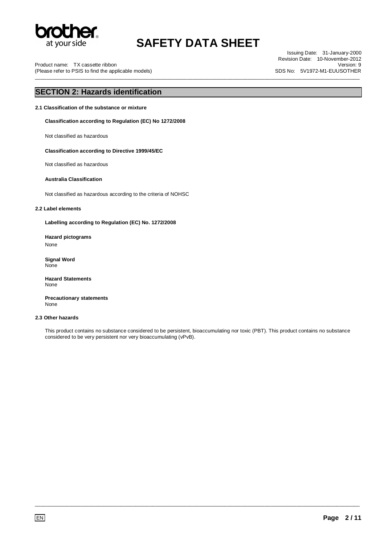

\_\_\_\_\_\_\_\_\_\_\_\_\_\_\_\_\_\_\_\_\_\_\_\_\_\_\_\_\_\_\_\_\_\_\_\_\_\_\_\_\_\_\_\_\_\_\_\_\_\_\_\_\_\_\_\_\_\_\_\_\_\_\_\_\_\_\_\_\_\_\_\_\_\_\_\_\_\_\_\_\_\_\_\_\_\_\_\_\_\_\_\_\_\_\_\_\_\_\_\_\_\_\_\_\_\_\_\_\_\_\_\_\_

Product name: TX cassette ribbon (Please refer to PSIS to find the applicable models)

Issuing Date: 31-January-2000 Revision Date: 10-November-2012 Version: 9 SDS No: 5V1972-M1-EUUSOTHER

## **SECTION 2: Hazards identification**

**2.1 Classification of the substance or mixture** 

**Classification according to Regulation (EC) No 1272/2008** 

Not classified as hazardous

#### **Classification according to Directive 1999/45/EC**

Not classified as hazardous

#### **Australia Classification**

Not classified as hazardous according to the criteria of NOHSC

#### **2.2 Label elements**

**Labelling according to Regulation (EC) No. 1272/2008** 

**Hazard pictograms**  None

**Signal Word** None

**Hazard Statements** None

**Precautionary statements** None

#### **2.3 Other hazards**

This product contains no substance considered to be persistent, bioaccumulating nor toxic (PBT). This product contains no substance considered to be very persistent nor very bioaccumulating (vPvB).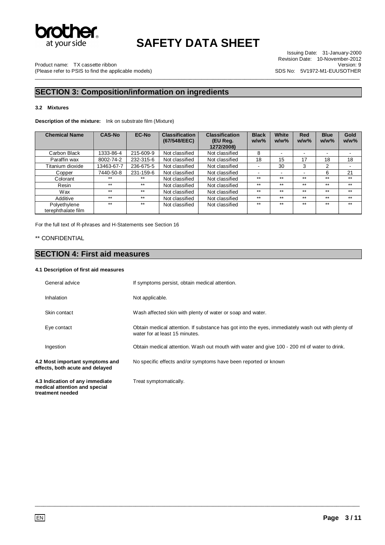

\_\_\_\_\_\_\_\_\_\_\_\_\_\_\_\_\_\_\_\_\_\_\_\_\_\_\_\_\_\_\_\_\_\_\_\_\_\_\_\_\_\_\_\_\_\_\_\_\_\_\_\_\_\_\_\_\_\_\_\_\_\_\_\_\_\_\_\_\_\_\_\_\_\_\_\_\_\_\_\_\_\_\_\_\_\_\_\_\_\_\_\_\_\_\_\_\_\_\_\_\_\_\_\_\_\_\_\_\_\_\_\_\_

Issuing Date: 31-January-2000 Revision Date: 10-November-2012 Version: 9 SDS No: 5V1972-M1-EUUSOTHER

Product name: TX cassette ribbon (Please refer to PSIS to find the applicable models)

## **SECTION 3: Composition/information on ingredients**

#### **3.2 Mixtures**

**Description of the mixture:** Ink on substrate film (Mixture)

| <b>Chemical Name</b> | <b>CAS-No</b> | <b>EC-No</b> | <b>Classification</b><br>(67/548/EEC) | <b>Classification</b><br>(EU Reg. | <b>Black</b><br>$w/w$ % | White<br>$w/w$ % | <b>Red</b><br>$w/w$ % | <b>Blue</b><br>$w/w$ % | Gold<br>$w/w$ % |
|----------------------|---------------|--------------|---------------------------------------|-----------------------------------|-------------------------|------------------|-----------------------|------------------------|-----------------|
|                      |               |              |                                       | 1272/2008)                        |                         |                  |                       |                        |                 |
| Carbon Black         | 1333-86-4     | 215-609-9    | Not classified                        | Not classified                    | 8                       |                  |                       |                        |                 |
| Paraffin wax         | 8002-74-2     | 232-315-6    | Not classified                        | Not classified                    | 18                      | 15               | 17                    | 18                     | 18              |
| Titanium dioxide     | 13463-67-7    | 236-675-5    | Not classified                        | Not classified                    | ۰                       | 30               | 3                     | 2                      |                 |
| Copper               | 7440-50-8     | 231-159-6    | Not classified                        | Not classified                    | -                       | ۰.               |                       | 6                      | 21              |
| Colorant             | $***$         | $***$        | Not classified                        | Not classified                    | $***$                   | $***$            | $***$                 | $***$                  | $***$           |
| Resin                | $***$         | $***$        | Not classified                        | Not classified                    | $***$                   | $***$            | $***$                 | $***$                  | $***$           |
| Wax                  | $***$         | $***$        | Not classified                        | Not classified                    | $***$                   | $***$            | $***$                 | $***$                  | $***$           |
| Additive             | $***$         | $***$        | Not classified                        | Not classified                    | $***$                   | $***$            | $***$                 | $***$                  | $***$           |
| Polyethylene         | $***$         | $***$        | Not classified                        | Not classified                    | $***$                   | $***$            | $***$                 | $***$                  | $***$           |
| terephthalate film   |               |              |                                       |                                   |                         |                  |                       |                        |                 |

For the full text of R-phrases and H-Statements see Section 16

### \*\* CONFIDENTIAL

**treatment needed** 

## **SECTION 4: First aid measures**

#### **4.1 Description of first aid measures**

| General advice                                                     | If symptoms persist, obtain medical attention.                                                                                      |
|--------------------------------------------------------------------|-------------------------------------------------------------------------------------------------------------------------------------|
| Inhalation                                                         | Not applicable.                                                                                                                     |
| Skin contact                                                       | Wash affected skin with plenty of water or soap and water.                                                                          |
| Eye contact                                                        | Obtain medical attention. If substance has got into the eyes, immediately wash out with plenty of<br>water for at least 15 minutes. |
| Ingestion                                                          | Obtain medical attention. Wash out mouth with water and give 100 - 200 ml of water to drink.                                        |
| 4.2 Most important symptoms and<br>effects, both acute and delayed | No specific effects and/or symptoms have been reported or known                                                                     |
| 4.3 Indication of any immediate<br>medical attention and special   | Treat symptomatically.                                                                                                              |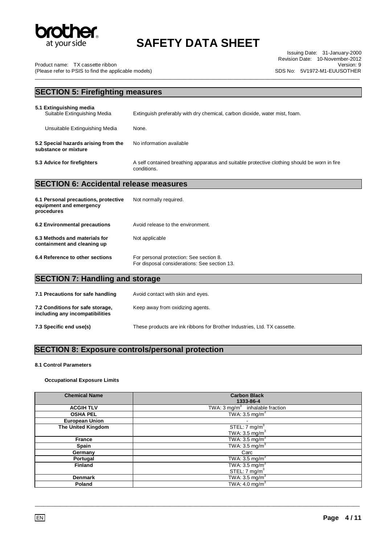

Issuing Date: 31-January-2000 Revision Date: 10-November-2012 Version: 9 SDS No: 5V1972-M1-EUUSOTHER

Product name: TX cassette ribbon (Please refer to PSIS to find the applicable models)

\_\_\_\_\_\_\_\_\_\_\_\_\_\_\_\_\_\_\_\_\_\_\_\_\_\_\_\_\_\_\_\_\_\_\_\_\_\_\_\_\_\_\_\_\_\_\_\_\_\_\_\_\_\_\_\_\_\_\_\_\_\_\_\_\_\_\_\_\_\_\_\_\_\_\_\_\_\_\_\_\_\_\_\_\_\_\_\_\_\_\_\_\_\_\_\_\_\_\_\_\_\_\_\_\_\_\_\_\_\_\_\_\_

## **SECTION 5: Firefighting measures**

| 5.1 Extinguishing media<br>Suitable Extinguishing Media      | Extinguish preferably with dry chemical, carbon dioxide, water mist, foam.                                  |
|--------------------------------------------------------------|-------------------------------------------------------------------------------------------------------------|
| Unsuitable Extinguishing Media                               | None.                                                                                                       |
| 5.2 Special hazards arising from the<br>substance or mixture | No information available                                                                                    |
| 5.3 Advice for firefighters                                  | A self contained breathing apparatus and suitable protective clothing should be worn in fire<br>conditions. |

## **SECTION 6: Accidental release measures**

| 6.1 Personal precautions, protective<br>equipment and emergency<br>procedures | Not normally required.                                                                  |
|-------------------------------------------------------------------------------|-----------------------------------------------------------------------------------------|
| 6.2 Environmental precautions                                                 | Avoid release to the environment.                                                       |
| 6.3 Methods and materials for<br>containment and cleaning up                  | Not applicable                                                                          |
| 6.4 Reference to other sections                                               | For personal protection: See section 8.<br>For disposal considerations: See section 13. |

## **SECTION 7: Handling and storage**

| 7.1 Precautions for safe handling                                   | Avoid contact with skin and eyes.                                        |
|---------------------------------------------------------------------|--------------------------------------------------------------------------|
| 7.2 Conditions for safe storage,<br>including any incompatibilities | Keep away from oxidizing agents.                                         |
| 7.3 Specific end use(s)                                             | These products are ink ribbons for Brother Industries, Ltd. TX cassette. |

## **SECTION 8: Exposure controls/personal protection**

#### **8.1 Control Parameters**

### **Occupational Exposure Limits**

| <b>Chemical Name</b>  | <b>Carbon Black</b><br>1333-86-4           |
|-----------------------|--------------------------------------------|
| <b>ACGIH TLV</b>      | TWA: $3 \text{ mg/m}^3$ inhalable fraction |
| <b>OSHA PEL</b>       | TWA: $3.5 \text{ mg/m}^3$                  |
| <b>European Union</b> |                                            |
| The United Kingdom    | STEL: $7 \text{ mg/m}^3$                   |
|                       | TWA: $3.5 \text{ mg/m}^3$                  |
| France                | TWA: $3.5 \text{ mg/m}^3$                  |
| Spain                 | TWA: $3.5 \text{ mg/m}^3$                  |
| Germany               | Carc                                       |
| Portugal              | TWA: $3.5 \text{ mg/m}^3$                  |
| <b>Finland</b>        | TWA: $3.5 \text{ mg/m}^3$                  |
|                       | STEL: 7 mg/m <sup>3</sup>                  |
| <b>Denmark</b>        | TWA: $3.5 \text{ mg/m}^3$                  |
| Poland                | TWA: 4.0 mg/m <sup>3</sup>                 |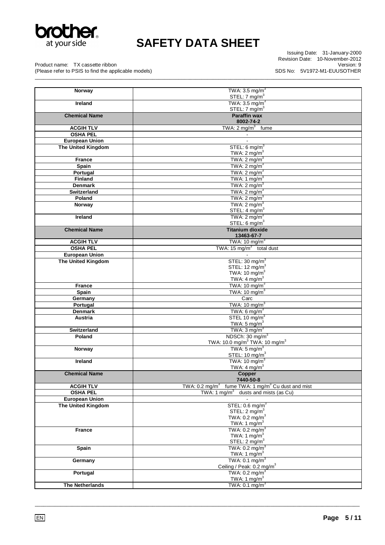

\_\_\_\_\_\_\_\_\_\_\_\_\_\_\_\_\_\_\_\_\_\_\_\_\_\_\_\_\_\_\_\_\_\_\_\_\_\_\_\_\_\_\_\_\_\_\_\_\_\_\_\_\_\_\_\_\_\_\_\_\_\_\_\_\_\_\_\_\_\_\_\_\_\_\_\_\_\_\_\_\_\_\_\_\_\_\_\_\_\_\_\_\_\_\_\_\_\_\_\_\_\_\_\_\_\_\_\_\_\_\_\_\_

Issuing Date: 31-January-2000 Revision Date: 10-November-2012 Version: 9 SDS No: 5V1972-M1-EUUSOTHER

Product name: TX cassette ribbon (Please refer to PSIS to find the applicable models)

| Norway                    | TWA: $3.5 \text{ mg/m}^3$                                                   |
|---------------------------|-----------------------------------------------------------------------------|
|                           | STEL: $7 \text{ mg/m}^3$<br>TWA: $3.5 \text{ mg/m}^3$                       |
| <b>Ireland</b>            | STEL: $7 \text{ mg/m}^3$                                                    |
| <b>Chemical Name</b>      | <b>Paraffin wax</b>                                                         |
|                           | 8002-74-2                                                                   |
| <b>ACGIH TLV</b>          | TWA: $2 \text{ mg/m}^3$ fume                                                |
| <b>OSHA PEL</b>           |                                                                             |
| <b>European Union</b>     | $\overline{\phantom{a}}$                                                    |
| <b>The United Kingdom</b> | STEL: 6 mg/m <sup>3</sup>                                                   |
|                           | TWA: $2 \text{ mg/m}^3$                                                     |
| <b>France</b>             | TWA: $2 \text{ mg/m}^3$                                                     |
| Spain                     | TWA: $2 \text{ mg/m}^3$                                                     |
| Portugal                  | TWA: $2 \text{ mg/m}^3$                                                     |
| <b>Finland</b>            | TWA: 1 mg/m <sup>3</sup>                                                    |
| <b>Denmark</b>            | TWA: $2 \text{ mg/m}^3$                                                     |
| <b>Switzerland</b>        | TWA: $2 \text{ mg/m}^3$                                                     |
| Poland                    | TWA: $2 \text{ mg/m}^3$                                                     |
| Norway                    | TWA: $2 \text{ mg/m}^3$                                                     |
|                           | STEL: $4 \text{ mg/m}^3$                                                    |
| Ireland                   | TWA: $2 \text{ mg/m}^3$                                                     |
|                           | STEL: 6 mg/m <sup>3</sup>                                                   |
| <b>Chemical Name</b>      | <b>Titanium dioxide</b><br>13463-67-7                                       |
| <b>ACGIH TLV</b>          | TWA: 10 mg/m <sup>3</sup>                                                   |
| <b>OSHA PEL</b>           | TWA: 15 mg/m <sup>3</sup> total dust                                        |
| <b>European Union</b>     |                                                                             |
| <b>The United Kingdom</b> | STEL: $30 \text{ mg/m}^3$                                                   |
|                           | STEL: 12 $mg/m3$                                                            |
|                           | TWA: 10 $mg/m3$                                                             |
|                           | TWA: $4 \text{ mg/m}^3$                                                     |
| <b>France</b>             | TWA: $10 \text{ mg/m}^3$                                                    |
| Spain                     | TWA: 10 mg/m <sup>3</sup>                                                   |
| Germany                   | Carc                                                                        |
| Portugal                  | TWA: $10 \text{ mg/m}^3$                                                    |
| <b>Denmark</b>            | TWA: $6 \text{ mg/m}^3$                                                     |
| Austria                   | STEL 10 mg/m <sup>3</sup>                                                   |
|                           | TWA: $5 \text{ mg/m}^3$                                                     |
| <b>Switzerland</b>        | TWA: $3 \text{ mg/m}^3$                                                     |
| Poland                    | NDSCh: 30 mg/m <sup>3</sup>                                                 |
|                           | TWA: 10.0 mg/m <sup>3</sup> TWA: 10 mg/m <sup>3</sup>                       |
| Norway                    | TWA: $5 \text{ mg/m}^3$                                                     |
|                           | STEL: 10 mg/m <sup>3</sup>                                                  |
| <b>Ireland</b>            | TWA: 10 mg/m <sup>3</sup><br>TWA: $4 \text{ mg/m}^3$                        |
| <b>Chemical Name</b>      |                                                                             |
|                           | Copper<br>7440-50-8                                                         |
| <b>ACGIH TLV</b>          | fume TWA: 1 mg/m <sup>3</sup> Cu dust and mist<br>TWA: $0.2 \text{ mg/m}^3$ |
| <b>OSHA PEL</b>           | TWA: 1 mg/m <sup>3</sup><br>dusts and mists (as Cu)                         |
| <b>European Union</b>     |                                                                             |
| <b>The United Kingdom</b> | STEL: $0.6 \text{ mg/m}^3$                                                  |
|                           | STEL: $2 \text{ mg/m}^3$                                                    |
|                           | TWA: $0.2 \text{ mg/m}^3$                                                   |
|                           | TWA: 1 $mg/m3$                                                              |
| <b>France</b>             | TWA: $0.2 \text{ mg/m}^3$                                                   |
|                           | TWA: 1 $mg/m^3$                                                             |
|                           | STEL: $2 \text{ mg/m}^3$                                                    |
| Spain                     | TWA: $0.2 \text{ mg/m}^3$                                                   |
|                           | TWA: 1 mg/m <sup>3</sup>                                                    |
| Germany                   | TWA: $0.1 \text{ mg/m}^3$<br>Ceiling / Peak: 0.2 mg/m <sup>3</sup>          |
| Portugal                  | TWA: $0.2 \text{ mg/m}^3$                                                   |
|                           | TWA: 1 mg/m <sup>3</sup>                                                    |
| The Netherlands           | TWA: $0.1 \text{ mg/m}^3$                                                   |
|                           |                                                                             |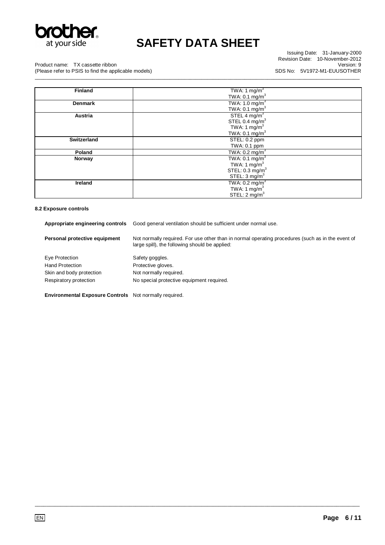

Issuing Date: 31-January-2000 Revision Date: 10-November-2012 Version: 9 SDS No: 5V1972-M1-EUUSOTHER

Product name: TX cassette ribbon

(Please refer to PSIS to find the applicable models) \_\_\_\_\_\_\_\_\_\_\_\_\_\_\_\_\_\_\_\_\_\_\_\_\_\_\_\_\_\_\_\_\_\_\_\_\_\_\_\_\_\_\_\_\_\_\_\_\_\_\_\_\_\_\_\_\_\_\_\_\_\_\_\_\_\_\_\_\_\_\_\_\_\_\_\_\_\_\_\_\_\_\_\_\_\_\_\_\_\_\_\_\_\_\_\_\_\_\_\_\_\_\_\_\_\_\_\_\_\_\_\_\_

| <b>Finland</b>     | TWA: 1 mg/m <sup>3</sup>    |
|--------------------|-----------------------------|
|                    | TWA: 0.1 mg/m <sup>3</sup>  |
| <b>Denmark</b>     | TWA: $1.0 \text{ mg/m}^3$   |
|                    | TWA: $0.1 \text{ mg/m}^3$   |
| Austria            | STEL 4 mg/m <sup>3</sup>    |
|                    | STEL 0.4 $mg/m3$            |
|                    | TWA: 1 $mg/m3$              |
|                    | TWA: $0.1 \text{ mg/m}^3$   |
| <b>Switzerland</b> | STEL: 0.2 ppm               |
|                    | TWA: 0.1 ppm                |
| Poland             | TWA: $0.2 \text{ mg/m}^3$   |
| Norway             | TWA: $0.1 \text{ mg/m}^3$   |
|                    | TWA: $1 \text{ mg/m}^3$     |
|                    | STEL: 0.3 mg/m <sup>3</sup> |
|                    | STEL: $3 \text{ mg/m}^3$    |
| Ireland            | TWA: $0.2 \text{ mg/m}^3$   |
|                    | TWA: 1 $mg/m^3$             |
|                    | STEL: $2 \text{ mg/m}^3$    |

### **8.2 Exposure controls**

| Appropriate engineering controls | Good general ventilation should be sufficient under normal use.                                                                                     |
|----------------------------------|-----------------------------------------------------------------------------------------------------------------------------------------------------|
| Personal protective equipment    | Not normally required. For use other than in normal operating procedures (such as in the event of<br>large spill), the following should be applied: |
| Eye Protection                   | Safety goggles.                                                                                                                                     |
| <b>Hand Protection</b>           | Protective gloves.                                                                                                                                  |
| Skin and body protection         | Not normally required.                                                                                                                              |
| Respiratory protection           | No special protective equipment required.                                                                                                           |

\_\_\_\_\_\_\_\_\_\_\_\_\_\_\_\_\_\_\_\_\_\_\_\_\_\_\_\_\_\_\_\_\_\_\_\_\_\_\_\_\_\_\_\_\_\_\_\_\_\_\_\_\_\_\_\_\_\_\_\_\_\_\_\_\_\_\_\_\_\_\_\_\_\_\_\_\_\_\_\_\_\_\_\_\_\_\_\_\_\_\_\_\_\_\_\_\_\_\_\_\_\_\_\_\_\_\_\_\_\_\_\_\_

**Environmental Exposure Controls** Not normally required.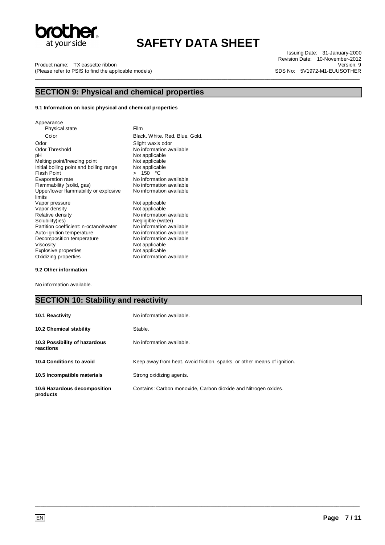

Product name: TX cassette ribbon (Please refer to PSIS to find the applicable models) \_\_\_\_\_\_\_\_\_\_\_\_\_\_\_\_\_\_\_\_\_\_\_\_\_\_\_\_\_\_\_\_\_\_\_\_\_\_\_\_\_\_\_\_\_\_\_\_\_\_\_\_\_\_\_\_\_\_\_\_\_\_\_\_\_\_\_\_\_\_\_\_\_\_\_\_\_\_\_\_\_\_\_\_\_\_\_\_\_\_\_\_\_\_\_\_\_\_\_\_\_\_\_\_\_\_\_\_\_\_\_\_\_

Issuing Date: 31-January-2000 Revision Date: 10-November-2012 Version: 9 SDS No: 5V1972-M1-EUUSOTHER

### **SECTION 9: Physical and chemical properties**

#### **9.1 Information on basic physical and chemical properties**

Appearance Physical state Film Color Black. White. Red. Blue. Gold. Odor Codor Slight wax's odor<br>
Odor Threshold Codor Threshold No information av Odor Threshold No information available<br>pH Not applicable Melting point/freezing point Not applicable<br>
Initial boiling point and boiling range Not applicable Initial boiling point and boiling range<br>Flash Point Flash Point  $\begin{array}{ccc} & 5 & 3 \\ \text{Exaporation rate} & & > 150 \end{array}$  °C Evaporation rate <br>
Flammability (solid, gas) No information available<br>
No information available Upper/lower flammability or explosive limits Vapor pressure Not applicable<br>
Vapor density Not applicable<br>
Not applicable Vapor density **Not applicable**<br>
Relative density **Not applicable**<br>
No information Solubility(ies)<br>
Partition coefficient: n-octanol/water
No information available Partition coefficient: n-octanol/water No information available<br>Auto-ignition temperature No information available Auto-ignition temperature **No** information available<br>Decomposition temperature **No** information available Decomposition temperature<br>Viscosity Explosive properties<br>Oxidizing properties No information available

Not applicable<br>Not applicable No information available No information available No information available Not applicable<br>Not applicable

#### **9.2 Other information**

No information available.

### **SECTION 10: Stability and reactivity**

| 10.1 Reactivity                            | No information available.                                                |
|--------------------------------------------|--------------------------------------------------------------------------|
| 10.2 Chemical stability                    | Stable.                                                                  |
| 10.3 Possibility of hazardous<br>reactions | No information available.                                                |
| 10.4 Conditions to avoid                   | Keep away from heat. Avoid friction, sparks, or other means of ignition. |
| 10.5 Incompatible materials                | Strong oxidizing agents.                                                 |
| 10.6 Hazardous decomposition<br>products   | Contains: Carbon monoxide, Carbon dioxide and Nitrogen oxides.           |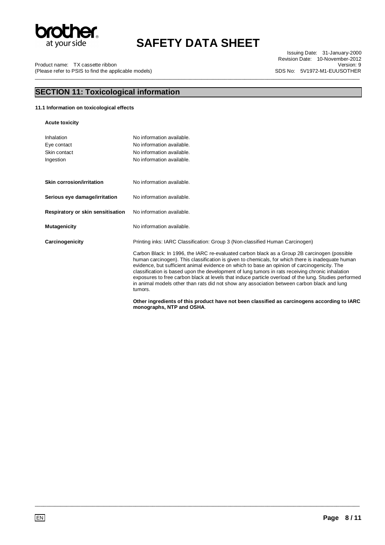

\_\_\_\_\_\_\_\_\_\_\_\_\_\_\_\_\_\_\_\_\_\_\_\_\_\_\_\_\_\_\_\_\_\_\_\_\_\_\_\_\_\_\_\_\_\_\_\_\_\_\_\_\_\_\_\_\_\_\_\_\_\_\_\_\_\_\_\_\_\_\_\_\_\_\_\_\_\_\_\_\_\_\_\_\_\_\_\_\_\_\_\_\_\_\_\_\_\_\_\_\_\_\_\_\_\_\_\_\_\_\_\_\_

Product name: TX cassette ribbon (Please refer to PSIS to find the applicable models)

Issuing Date: 31-January-2000 Revision Date: 10-November-2012 Version: 9 SDS No: 5V1972-M1-EUUSOTHER

## **SECTION 11: Toxicological information**

### **11.1 Information on toxicological effects**

**Acute toxicity** 

| Inhalation                        | No information available.                                                                                                                                                                                                                                                                                                                                                                                                                                                                                                                                                                                                |
|-----------------------------------|--------------------------------------------------------------------------------------------------------------------------------------------------------------------------------------------------------------------------------------------------------------------------------------------------------------------------------------------------------------------------------------------------------------------------------------------------------------------------------------------------------------------------------------------------------------------------------------------------------------------------|
| Eye contact                       | No information available.                                                                                                                                                                                                                                                                                                                                                                                                                                                                                                                                                                                                |
| Skin contact                      | No information available.                                                                                                                                                                                                                                                                                                                                                                                                                                                                                                                                                                                                |
| Ingestion                         | No information available.                                                                                                                                                                                                                                                                                                                                                                                                                                                                                                                                                                                                |
|                                   |                                                                                                                                                                                                                                                                                                                                                                                                                                                                                                                                                                                                                          |
| Skin corrosion/irritation         | No information available.                                                                                                                                                                                                                                                                                                                                                                                                                                                                                                                                                                                                |
| Serious eye damage/irritation     | No information available.                                                                                                                                                                                                                                                                                                                                                                                                                                                                                                                                                                                                |
| Respiratory or skin sensitisation | No information available.                                                                                                                                                                                                                                                                                                                                                                                                                                                                                                                                                                                                |
| <b>Mutagenicity</b>               | No information available.                                                                                                                                                                                                                                                                                                                                                                                                                                                                                                                                                                                                |
| Carcinogenicity                   | Printing inks: IARC Classification: Group 3 (Non-classified Human Carcinogen)                                                                                                                                                                                                                                                                                                                                                                                                                                                                                                                                            |
|                                   | Carbon Black: In 1996, the IARC re-evaluated carbon black as a Group 2B carcinogen (possible<br>human carcinogen). This classification is given to chemicals, for which there is inadequate human<br>evidence, but sufficient animal evidence on which to base an opinion of carcinogenicity. The<br>classification is based upon the development of lung tumors in rats receiving chronic inhalation<br>exposures to free carbon black at levels that induce particle overload of the lung. Studies performed<br>in animal models other than rats did not show any association between carbon black and lung<br>tumors. |
|                                   | Other ingredients of this product have not been classified as carcinogens according to IARC<br>monographs, NTP and OSHA.                                                                                                                                                                                                                                                                                                                                                                                                                                                                                                 |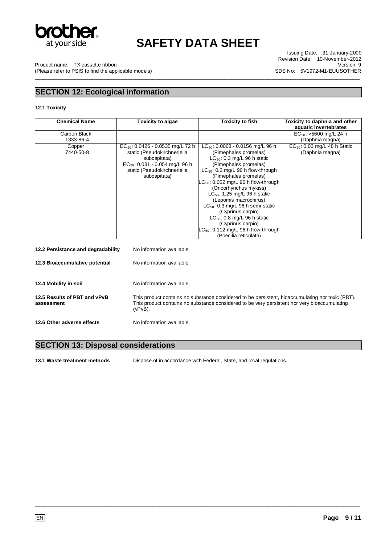

\_\_\_\_\_\_\_\_\_\_\_\_\_\_\_\_\_\_\_\_\_\_\_\_\_\_\_\_\_\_\_\_\_\_\_\_\_\_\_\_\_\_\_\_\_\_\_\_\_\_\_\_\_\_\_\_\_\_\_\_\_\_\_\_\_\_\_\_\_\_\_\_\_\_\_\_\_\_\_\_\_\_\_\_\_\_\_\_\_\_\_\_\_\_\_\_\_\_\_\_\_\_\_\_\_\_\_\_\_\_\_\_\_

Issuing Date: 31-January-2000 Revision Date: 10-November-2012 Version: 9 SDS No: 5V1972-M1-EUUSOTHER

Product name: TX cassette ribbon (Please refer to PSIS to find the applicable models)

## **SECTION 12: Ecological information**

### **12.1 Toxicity**

| <b>Chemical Name</b>                       | <b>Toxicity to algae</b>                                                                                                                                                   | <b>Toxicity to fish</b>                                                                                                                                                                                                                                                                                                                                                                                                                                                                                                              | Toxicity to daphnia and other<br>aquatic invertebrates |
|--------------------------------------------|----------------------------------------------------------------------------------------------------------------------------------------------------------------------------|--------------------------------------------------------------------------------------------------------------------------------------------------------------------------------------------------------------------------------------------------------------------------------------------------------------------------------------------------------------------------------------------------------------------------------------------------------------------------------------------------------------------------------------|--------------------------------------------------------|
| Carbon Black<br>1333-86-4                  |                                                                                                                                                                            |                                                                                                                                                                                                                                                                                                                                                                                                                                                                                                                                      | $EC_{50}$ : >5600 mg/L 24 h<br>(Daphnia magna)         |
| Copper<br>7440-50-8                        | $EC_{50}$ : 0.0426 - 0.0535 mg/L 72 h<br>static (Pseudokirchneriella<br>subcapitata)<br>$EC_{50}$ : 0.031 - 0.054 mg/L 96 h<br>static (Pseudokirchneriella<br>subcapitata) | $LC_{50}$ : 0.0068 - 0.0156 mg/L 96 h<br>(Pimephales promelas)<br>LC <sub>50</sub> : 0.3 mg/L 96 h static<br>(Pimephales promelas)<br>$LC_{50}$ : 0.2 mg/L 96 h flow-through<br>(Pimephales promelas)<br>$LC_{50}$ : 0.052 mg/L 96 h flow-through<br>(Oncorhynchus mykiss)<br>$LC_{50}$ : 1.25 mg/L 96 h static<br>(Lepomis macrochirus)<br>$LC_{50}$ : 0.3 mg/L 96 h semi-static<br>(Cyprinus carpio)<br>$LC_{50}$ : 0.8 mg/L 96 h static<br>(Cyprinus carpio)<br>$LC_{50}$ : 0.112 mg/L 96 h flow-through<br>(Poecilia reticulata) | $EC_{50}$ : 0.03 mg/L 48 h Static<br>(Daphnia magna)   |
| 12.2 Persistance and degradability         | No information available.                                                                                                                                                  |                                                                                                                                                                                                                                                                                                                                                                                                                                                                                                                                      |                                                        |
| 12.3 Bioaccumulative potential             | No information available.                                                                                                                                                  |                                                                                                                                                                                                                                                                                                                                                                                                                                                                                                                                      |                                                        |
| 12.4 Mobility in soil                      | No information available.                                                                                                                                                  |                                                                                                                                                                                                                                                                                                                                                                                                                                                                                                                                      |                                                        |
| 12.5 Results of PBT and vPvB<br>assessment | $(vPvB)$ .                                                                                                                                                                 | This product contains no substance considered to be persistent, bioaccumulating nor toxic (PBT).<br>This product contains no substance considered to be very persistent nor very bioaccumulating                                                                                                                                                                                                                                                                                                                                     |                                                        |

**12.6 Other adverse effects** No information available.

## **SECTION 13: Disposal considerations**

**13.1 Waste treatment methods** Dispose of in accordance with Federal, State, and local regulations.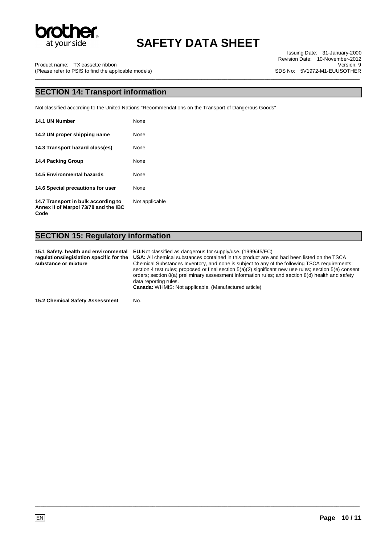

**Code** 

# **SAFETY DATA SHEET**

\_\_\_\_\_\_\_\_\_\_\_\_\_\_\_\_\_\_\_\_\_\_\_\_\_\_\_\_\_\_\_\_\_\_\_\_\_\_\_\_\_\_\_\_\_\_\_\_\_\_\_\_\_\_\_\_\_\_\_\_\_\_\_\_\_\_\_\_\_\_\_\_\_\_\_\_\_\_\_\_\_\_\_\_\_\_\_\_\_\_\_\_\_\_\_\_\_\_\_\_\_\_\_\_\_\_\_\_\_\_\_\_\_

Issuing Date: 31-January-2000 Revision Date: 10-November-2012 Version: 9 SDS No: 5V1972-M1-EUUSOTHER

Product name: TX cassette ribbon (Please refer to PSIS to find the applicable models)

### **SECTION 14: Transport information**

Not classified according to the United Nations "Recommendations on the Transport of Dangerous Goods"

| 14.1 UN Number                                                              | None           |
|-----------------------------------------------------------------------------|----------------|
| 14.2 UN proper shipping name                                                | None           |
| 14.3 Transport hazard class(es)                                             | None           |
| 14.4 Packing Group                                                          | None           |
| <b>14.5 Environmental hazards</b>                                           | None           |
| 14.6 Special precautions for user                                           | None           |
| 14.7 Transport in bulk according to<br>Annex II of Marpol 73/78 and the IBC | Not applicable |

## **SECTION 15: Regulatory information**

**15.1 Safety, health and environmental regulations/legislation specific for the substance or mixture EU:**Not classified as dangerous for supply/use. (1999/45/EC) **USA:** All chemical substances contained in this product are and had been listed on the TSCA Chemical Substances Inventory, and none is subject to any of the following TSCA requirements: section 4 test rules; proposed or final section 5(a)(2) significant new use rules; section 5(e) consent orders; section 8(a) preliminary assessment information rules; and section 8(d) health and safety data reporting rules. **Canada:** WHMIS: Not applicable. (Manufactured article)

\_\_\_\_\_\_\_\_\_\_\_\_\_\_\_\_\_\_\_\_\_\_\_\_\_\_\_\_\_\_\_\_\_\_\_\_\_\_\_\_\_\_\_\_\_\_\_\_\_\_\_\_\_\_\_\_\_\_\_\_\_\_\_\_\_\_\_\_\_\_\_\_\_\_\_\_\_\_\_\_\_\_\_\_\_\_\_\_\_\_\_\_\_\_\_\_\_\_\_\_\_\_\_\_\_\_\_\_\_\_\_\_\_

**15.2 Chemical Safety Assessment** No.

EN **Page 10 / 11**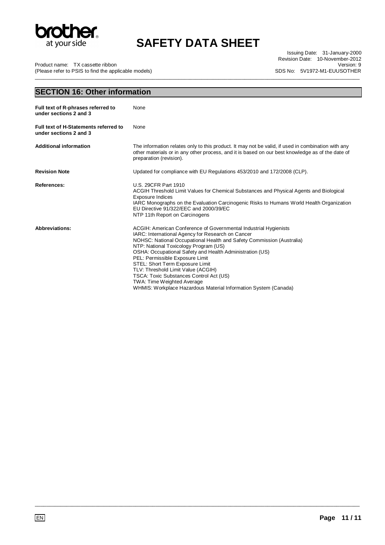

Issuing Date: 31-January-2000 Revision Date: 10-November-2012 Version: 9 SDS No: 5V1972-M1-EUUSOTHER

Product name: TX cassette ribbon

(Please refer to PSIS to find the applicable models) \_\_\_\_\_\_\_\_\_\_\_\_\_\_\_\_\_\_\_\_\_\_\_\_\_\_\_\_\_\_\_\_\_\_\_\_\_\_\_\_\_\_\_\_\_\_\_\_\_\_\_\_\_\_\_\_\_\_\_\_\_\_\_\_\_\_\_\_\_\_\_\_\_\_\_\_\_\_\_\_\_\_\_\_\_\_\_\_\_\_\_\_\_\_\_\_\_\_\_\_\_\_\_\_\_\_\_\_\_\_\_\_\_

| <b>SECTION 16: Other information</b>                            |                                                                                                                                                                                                                                                                                                                                                                                                                                                                                                                                                                    |  |
|-----------------------------------------------------------------|--------------------------------------------------------------------------------------------------------------------------------------------------------------------------------------------------------------------------------------------------------------------------------------------------------------------------------------------------------------------------------------------------------------------------------------------------------------------------------------------------------------------------------------------------------------------|--|
| Full text of R-phrases referred to<br>under sections 2 and 3    | None                                                                                                                                                                                                                                                                                                                                                                                                                                                                                                                                                               |  |
| Full text of H-Statements referred to<br>under sections 2 and 3 | None                                                                                                                                                                                                                                                                                                                                                                                                                                                                                                                                                               |  |
| <b>Additional information</b>                                   | The information relates only to this product. It may not be valid, if used in combination with any<br>other materials or in any other process, and it is based on our best knowledge as of the date of<br>preparation (revision).                                                                                                                                                                                                                                                                                                                                  |  |
| <b>Revision Note</b>                                            | Updated for compliance with EU Regulations 453/2010 and 172/2008 (CLP).                                                                                                                                                                                                                                                                                                                                                                                                                                                                                            |  |
| <b>References:</b>                                              | U.S. 29CFR Part 1910<br>ACGIH Threshold Limit Values for Chemical Substances and Physical Agents and Biological<br><b>Exposure Indices</b><br>IARC Monographs on the Evaluation Carcinogenic Risks to Humans World Health Organization<br>EU Directive 91/322/EEC and 2000/39/EC<br>NTP 11th Report on Carcinogens                                                                                                                                                                                                                                                 |  |
| <b>Abbreviations:</b>                                           | ACGIH: American Conference of Governmental Industrial Hygienists<br>IARC: International Agency for Research on Cancer<br>NOHSC: National Occupational Health and Safety Commission (Australia)<br>NTP: National Toxicology Program (US)<br>OSHA: Occupational Safety and Health Administration (US)<br>PEL: Permissible Exposure Limit<br>STEL: Short Term Exposure Limit<br>TLV: Threshold Limit Value (ACGIH)<br>TSCA: Toxic Substances Control Act (US)<br><b>TWA: Time Weighted Average</b><br>WHMIS: Workplace Hazardous Material Information System (Canada) |  |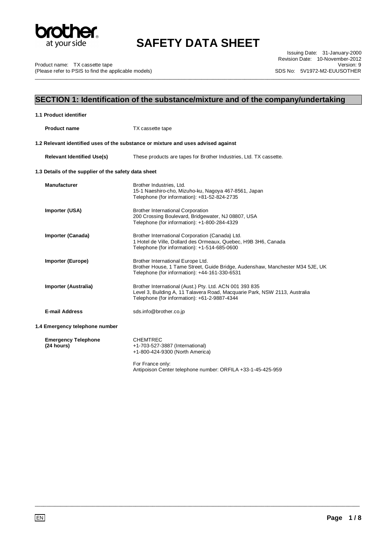

\_\_\_\_\_\_\_\_\_\_\_\_\_\_\_\_\_\_\_\_\_\_\_\_\_\_\_\_\_\_\_\_\_\_\_\_\_\_\_\_\_\_\_\_\_\_\_\_\_\_\_\_\_\_\_\_\_\_\_\_\_\_\_\_\_\_\_\_\_\_\_\_\_\_\_\_\_\_\_\_\_\_\_\_\_\_\_\_\_\_\_\_\_\_\_\_\_\_\_\_\_\_\_\_\_\_\_\_\_\_\_\_\_

Product name: TX cassette tape (Please refer to PSIS to find the applicable models)

Issuing Date: 31-January-2000 Revision Date: 10-November-2012 Version: 9 SDS No: 5V1972-M2-EUUSOTHER

## **SECTION 1: Identification of the substance/mixture and of the company/undertaking**

| 1.1 Product identifier                               |                                                                                                                                                                                       |
|------------------------------------------------------|---------------------------------------------------------------------------------------------------------------------------------------------------------------------------------------|
| <b>Product name</b>                                  | TX cassette tape                                                                                                                                                                      |
|                                                      | 1.2 Relevant identified uses of the substance or mixture and uses advised against                                                                                                     |
| <b>Relevant Identified Use(s)</b>                    | These products are tapes for Brother Industries, Ltd. TX cassette.                                                                                                                    |
| 1.3 Details of the supplier of the safety data sheet |                                                                                                                                                                                       |
| <b>Manufacturer</b>                                  | Brother Industries, Ltd.<br>15-1 Naeshiro-cho, Mizuho-ku, Nagoya 467-8561, Japan<br>Telephone (for information): +81-52-824-2735                                                      |
| Importer (USA)                                       | <b>Brother International Corporation</b><br>200 Crossing Boulevard, Bridgewater, NJ 08807, USA<br>Telephone (for information): +1-800-284-4329                                        |
| Importer (Canada)                                    | Brother International Corporation (Canada) Ltd.<br>1 Hotel de Ville, Dollard des Ormeaux, Quebec, H9B 3H6, Canada<br>Telephone (for information): +1-514-685-0600                     |
| <b>Importer (Europe)</b>                             | Brother International Europe Ltd.<br>Brother House, 1 Tame Street, Guide Bridge, Audenshaw, Manchester M34 5JE, UK<br>Telephone (for information): +44-161-330-6531                   |
| Importer (Australia)                                 | Brother International (Aust.) Pty. Ltd. ACN 001 393 835<br>Level 3, Building A, 11 Talavera Road, Macquarie Park, NSW 2113, Australia<br>Telephone (for information): +61-2-9887-4344 |
| <b>E-mail Address</b>                                | sds.info@brother.co.jp                                                                                                                                                                |
| 1.4 Emergency telephone number                       |                                                                                                                                                                                       |
| <b>Emergency Telephone</b><br>(24 hours)             | <b>CHEMTREC</b><br>+1-703-527-3887 (International)<br>+1-800-424-9300 (North America)                                                                                                 |
|                                                      | For France only:<br>Antipoison Center telephone number: ORFILA +33-1-45-425-959                                                                                                       |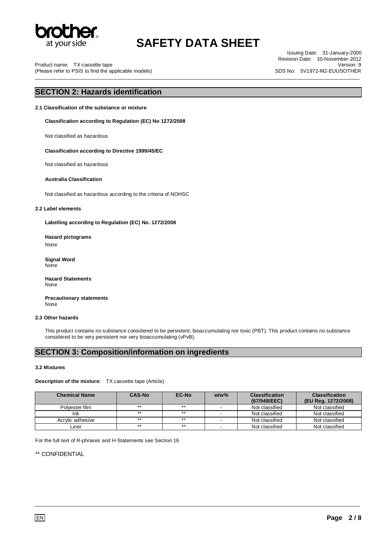

\_\_\_\_\_\_\_\_\_\_\_\_\_\_\_\_\_\_\_\_\_\_\_\_\_\_\_\_\_\_\_\_\_\_\_\_\_\_\_\_\_\_\_\_\_\_\_\_\_\_\_\_\_\_\_\_\_\_\_\_\_\_\_\_\_\_\_\_\_\_\_\_\_\_\_\_\_\_\_\_\_\_\_\_\_\_\_\_\_\_\_\_\_\_\_\_\_\_\_\_\_\_\_\_\_\_\_\_\_\_\_\_\_

Product name: TX cassette tape (Please refer to PSIS to find the applicable models)

Issuing Date: 31-January-2000 Revision Date: 10-November-2012 Version: 9 SDS No: 5V1972-M2-EUUSOTHER

## **SECTION 2: Hazards identification**

**2.1 Classification of the substance or mixture** 

**Classification according to Regulation (EC) No 1272/2008** 

Not classified as hazardous

#### **Classification according to Directive 1999/45/EC**

Not classified as hazardous

#### **Australia Classification**

Not classified as hazardous according to the criteria of NOHSC

#### **2.2 Label elements**

**Labelling according to Regulation (EC) No. 1272/2008** 

**Hazard pictograms**  None

**Signal Word** None

**Hazard Statements** None

**Precautionary statements** None

#### **2.3 Other hazards**

This product contains no substance considered to be persistent, bioaccumulating nor toxic (PBT). This product contains no substance considered to be very persistent nor very bioaccumulating (vPvB).

## **SECTION 3: Composition/information on ingredients**

#### **3.2 Mixtures**

**Description of the mixture:** TX cassette tape (Article).

| <b>Chemical Name</b> | <b>CAS-No</b> | <b>EC-No</b> | $w/w$ %                  | <b>Classification</b> | <b>Classification</b> |
|----------------------|---------------|--------------|--------------------------|-----------------------|-----------------------|
|                      |               |              |                          | (67/548/EEC)          | (EU Reg. 1272/2008)   |
| Polvester film       | $***$         | $***$        | . .                      | Not classified        | Not classified        |
| Ink                  | $***$         | $***$        |                          | Not classified        | Not classified        |
| Acrylic adhesive     | $***$         | $***$        | $\overline{\phantom{a}}$ | Not classified        | Not classified        |
| Liner                | $***$         | $***$        | $\overline{\phantom{a}}$ | Not classified        | Not classified        |

\_\_\_\_\_\_\_\_\_\_\_\_\_\_\_\_\_\_\_\_\_\_\_\_\_\_\_\_\_\_\_\_\_\_\_\_\_\_\_\_\_\_\_\_\_\_\_\_\_\_\_\_\_\_\_\_\_\_\_\_\_\_\_\_\_\_\_\_\_\_\_\_\_\_\_\_\_\_\_\_\_\_\_\_\_\_\_\_\_\_\_\_\_\_\_\_\_\_\_\_\_\_\_\_\_\_\_\_\_\_\_\_\_

For the full text of R-phrases and H-Statements see Section 16

\*\* CONFIDENTIAL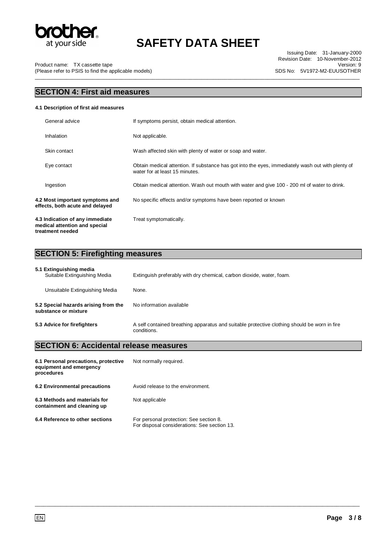

\_\_\_\_\_\_\_\_\_\_\_\_\_\_\_\_\_\_\_\_\_\_\_\_\_\_\_\_\_\_\_\_\_\_\_\_\_\_\_\_\_\_\_\_\_\_\_\_\_\_\_\_\_\_\_\_\_\_\_\_\_\_\_\_\_\_\_\_\_\_\_\_\_\_\_\_\_\_\_\_\_\_\_\_\_\_\_\_\_\_\_\_\_\_\_\_\_\_\_\_\_\_\_\_\_\_\_\_\_\_\_\_\_

Issuing Date: 31-January-2000 Revision Date: 10-November-2012 Version: 9 SDS No: 5V1972-M2-EUUSOTHER

Product name: TX cassette tape (Please refer to PSIS to find the applicable models)

## **SECTION 4: First aid measures**

#### **4.1 Description of first aid measures**

| General advice                                                                       | If symptoms persist, obtain medical attention.                                                                                      |
|--------------------------------------------------------------------------------------|-------------------------------------------------------------------------------------------------------------------------------------|
| Inhalation                                                                           | Not applicable.                                                                                                                     |
| Skin contact                                                                         | Wash affected skin with plenty of water or soap and water.                                                                          |
| Eye contact                                                                          | Obtain medical attention. If substance has got into the eyes, immediately wash out with plenty of<br>water for at least 15 minutes. |
| Ingestion                                                                            | Obtain medical attention. Wash out mouth with water and give 100 - 200 ml of water to drink.                                        |
| 4.2 Most important symptoms and<br>effects, both acute and delayed                   | No specific effects and/or symptoms have been reported or known                                                                     |
| 4.3 Indication of any immediate<br>medical attention and special<br>treatment needed | Treat symptomatically.                                                                                                              |

## **SECTION 5: Firefighting measures**

| 5.1 Extinguishing media<br>Suitable Extinguishing Media      | Extinguish preferably with dry chemical, carbon dioxide, water, foam.                                       |
|--------------------------------------------------------------|-------------------------------------------------------------------------------------------------------------|
| Unsuitable Extinguishing Media                               | None.                                                                                                       |
| 5.2 Special hazards arising from the<br>substance or mixture | No information available                                                                                    |
| 5.3 Advice for firefighters                                  | A self contained breathing apparatus and suitable protective clothing should be worn in fire<br>conditions. |

\_\_\_\_\_\_\_\_\_\_\_\_\_\_\_\_\_\_\_\_\_\_\_\_\_\_\_\_\_\_\_\_\_\_\_\_\_\_\_\_\_\_\_\_\_\_\_\_\_\_\_\_\_\_\_\_\_\_\_\_\_\_\_\_\_\_\_\_\_\_\_\_\_\_\_\_\_\_\_\_\_\_\_\_\_\_\_\_\_\_\_\_\_\_\_\_\_\_\_\_\_\_\_\_\_\_\_\_\_\_\_\_\_

## **SECTION 6: Accidental release measures**

| 6.1 Personal precautions, protective<br>equipment and emergency<br>procedures | Not normally required.                                                                  |
|-------------------------------------------------------------------------------|-----------------------------------------------------------------------------------------|
| 6.2 Environmental precautions                                                 | Avoid release to the environment.                                                       |
| 6.3 Methods and materials for<br>containment and cleaning up                  | Not applicable                                                                          |
| 6.4 Reference to other sections                                               | For personal protection: See section 8.<br>For disposal considerations: See section 13. |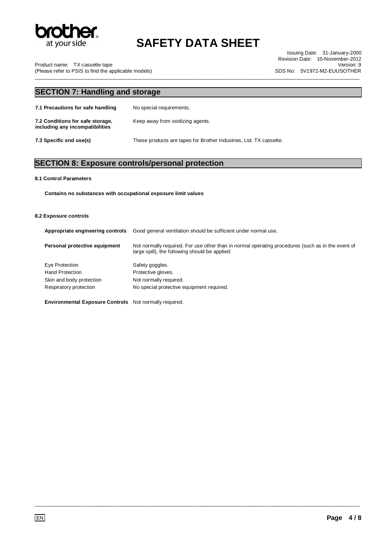

\_\_\_\_\_\_\_\_\_\_\_\_\_\_\_\_\_\_\_\_\_\_\_\_\_\_\_\_\_\_\_\_\_\_\_\_\_\_\_\_\_\_\_\_\_\_\_\_\_\_\_\_\_\_\_\_\_\_\_\_\_\_\_\_\_\_\_\_\_\_\_\_\_\_\_\_\_\_\_\_\_\_\_\_\_\_\_\_\_\_\_\_\_\_\_\_\_\_\_\_\_\_\_\_\_\_\_\_\_\_\_\_\_

Issuing Date: 31-January-2000 Revision Date: 10-November-2012 Version: 9 SDS No: 5V1972-M2-EUUSOTHER

Product name: TX cassette tape (Please refer to PSIS to find the applicable models)

## **SECTION 7: Handling and storage 7.1 Precautions for safe handling** No special requirements. **7.2 Conditions for safe storage, including any incompatibilities**  Keep away from oxidizing agents. **7.3 Specific end use(s)** These products are tapes for Brother Industries, Ltd. TX cassette.

## **SECTION 8: Exposure controls/personal protection**

#### **8.1 Control Parameters**

**Contains no substances with occupational exposure limit values** 

#### **8.2 Exposure controls**

| Appropriate engineering controls | Good general ventilation should be sufficient under normal use.                                                                                     |
|----------------------------------|-----------------------------------------------------------------------------------------------------------------------------------------------------|
| Personal protective equipment    | Not normally required. For use other than in normal operating procedures (such as in the event of<br>large spill), the following should be applied: |
| Eye Protection                   | Safety goggles.                                                                                                                                     |
| <b>Hand Protection</b>           | Protective gloves.                                                                                                                                  |
| Skin and body protection         | Not normally required.                                                                                                                              |
| Respiratory protection           | No special protective equipment required.                                                                                                           |
|                                  |                                                                                                                                                     |

\_\_\_\_\_\_\_\_\_\_\_\_\_\_\_\_\_\_\_\_\_\_\_\_\_\_\_\_\_\_\_\_\_\_\_\_\_\_\_\_\_\_\_\_\_\_\_\_\_\_\_\_\_\_\_\_\_\_\_\_\_\_\_\_\_\_\_\_\_\_\_\_\_\_\_\_\_\_\_\_\_\_\_\_\_\_\_\_\_\_\_\_\_\_\_\_\_\_\_\_\_\_\_\_\_\_\_\_\_\_\_\_\_

**Environmental Exposure Controls** Not normally required.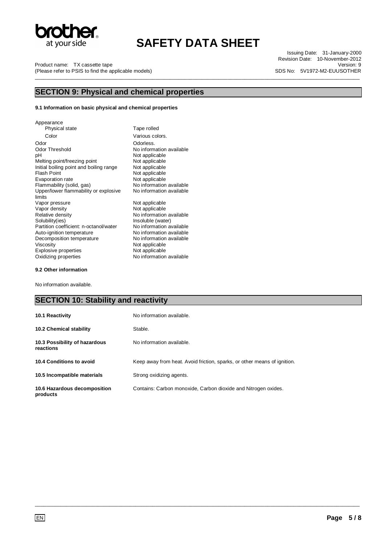

Product name: TX cassette tape (Please refer to PSIS to find the applicable models) \_\_\_\_\_\_\_\_\_\_\_\_\_\_\_\_\_\_\_\_\_\_\_\_\_\_\_\_\_\_\_\_\_\_\_\_\_\_\_\_\_\_\_\_\_\_\_\_\_\_\_\_\_\_\_\_\_\_\_\_\_\_\_\_\_\_\_\_\_\_\_\_\_\_\_\_\_\_\_\_\_\_\_\_\_\_\_\_\_\_\_\_\_\_\_\_\_\_\_\_\_\_\_\_\_\_\_\_\_\_\_\_\_

Issuing Date: 31-January-2000 Revision Date: 10-November-2012 Version: 9 SDS No: 5V1972-M2-EUUSOTHER

### **SECTION 9: Physical and chemical properties**

#### **9.1 Information on basic physical and chemical properties**

Appearance Physical state Tape rolled Color Various colors. Odor<br>
Odor Threshold

Odor Threshold

Odor Channel Contains and Channel Contains and Channel Contains and Channel Contains and Channel Channel Channel Channel Channel Channel Channel Channel Channel Channel Channel Channe Odor Threshold No information available<br>pH Not applicable Melting point/freezing point Not applicable<br>
Initial boiling point and boiling range Not applicable Initial boiling point and boiling range<br>Flash Point Evaporation rate<br>Flammability (solid, gas) Upper/lower flammability or explosive limits Vapor pressure Not applicable<br>
Vapor density Not applicable<br>
Not applicable Vapor density **Not applicable**<br>
Relative density **Not applicable**<br>
No information Relative density  $\begin{array}{ccc} \text{Ne} & \text{No} \text{ information available} \\ \text{Solubility(ies)} & \text{Insoluble (water)} \end{array}$ Partition coefficient: n-octanol/water No information available<br>Auto-ignition temperature No information available Auto-ignition temperature **No** information available<br>Decomposition temperature **No** information available Decomposition temperature<br>Viscosity Explosive properties<br>Oxidizing properties No information available

Not applicable<br>Not applicable Not applicable<br>Not applicable No information available No information available Insoluble (water)<br>No information available Not applicable<br>Not applicable

#### **9.2 Other information**

No information available.

### **SECTION 10: Stability and reactivity**

| <b>10.1 Reactivity</b>                     | No information available.                                                |
|--------------------------------------------|--------------------------------------------------------------------------|
| 10.2 Chemical stability                    | Stable.                                                                  |
| 10.3 Possibility of hazardous<br>reactions | No information available.                                                |
| 10.4 Conditions to avoid                   | Keep away from heat. Avoid friction, sparks, or other means of ignition. |
| 10.5 Incompatible materials                | Strong oxidizing agents.                                                 |
| 10.6 Hazardous decomposition<br>products   | Contains: Carbon monoxide, Carbon dioxide and Nitrogen oxides.           |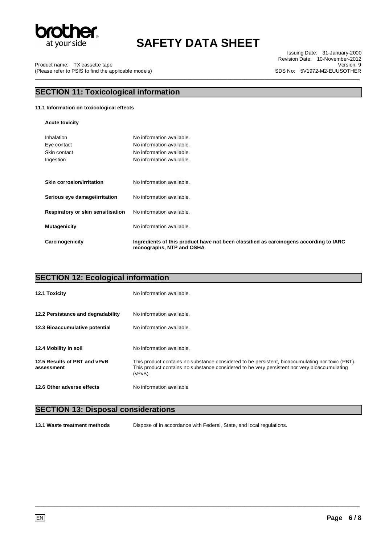

Issuing Date: 31-January-2000 Revision Date: 10-November-2012 Version: 9 SDS No: 5V1972-M2-EUUSOTHER

Product name: TX cassette tape (Please refer to PSIS to find the applicable models) \_\_\_\_\_\_\_\_\_\_\_\_\_\_\_\_\_\_\_\_\_\_\_\_\_\_\_\_\_\_\_\_\_\_\_\_\_\_\_\_\_\_\_\_\_\_\_\_\_\_\_\_\_\_\_\_\_\_\_\_\_\_\_\_\_\_\_\_\_\_\_\_\_\_\_\_\_\_\_\_\_\_\_\_\_\_\_\_\_\_\_\_\_\_\_\_\_\_\_\_\_\_\_\_\_\_\_\_\_\_\_\_\_

## **SECTION 11: Toxicological information**

### **11.1 Information on toxicological effects**

**Acute toxicity** 

| Inhalation                        | No information available.                                                                                          |
|-----------------------------------|--------------------------------------------------------------------------------------------------------------------|
| Eye contact                       | No information available.                                                                                          |
| Skin contact                      | No information available.                                                                                          |
| Ingestion                         | No information available.                                                                                          |
|                                   |                                                                                                                    |
| Skin corrosion/irritation         | No information available.                                                                                          |
| Serious eye damage/irritation     | No information available.                                                                                          |
| Respiratory or skin sensitisation | No information available.                                                                                          |
| <b>Mutagenicity</b>               | No information available.                                                                                          |
| Carcinogenicity                   | Ingredients of this product have not been classified as carcinogens according to IARC<br>monographs, NTP and OSHA. |

| <b>SECTION 12: Ecological information</b>  |                                                                                                                                                                                                             |  |
|--------------------------------------------|-------------------------------------------------------------------------------------------------------------------------------------------------------------------------------------------------------------|--|
| <b>12.1 Toxicity</b>                       | No information available.                                                                                                                                                                                   |  |
| 12.2 Persistance and degradability         | No information available.                                                                                                                                                                                   |  |
| 12.3 Bioaccumulative potential             | No information available.                                                                                                                                                                                   |  |
| 12.4 Mobility in soil                      | No information available.                                                                                                                                                                                   |  |
| 12.5 Results of PBT and vPvB<br>assessment | This product contains no substance considered to be persistent, bioaccumulating nor toxic (PBT).<br>This product contains no substance considered to be very persistent nor very bioaccumulating<br>(vPvB). |  |
| 12.6 Other adverse effects                 | No information available                                                                                                                                                                                    |  |

## **SECTION 13: Disposal considerations**

**13.1 Waste treatment methods** Dispose of in accordance with Federal, State, and local regulations.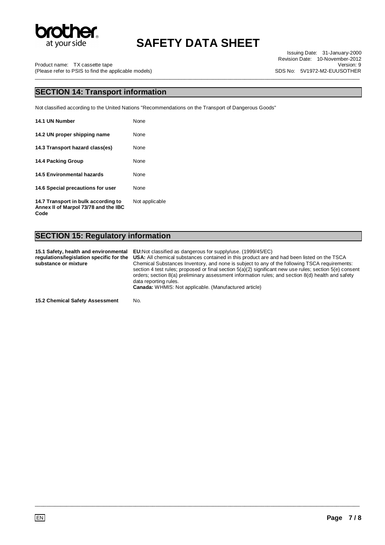

\_\_\_\_\_\_\_\_\_\_\_\_\_\_\_\_\_\_\_\_\_\_\_\_\_\_\_\_\_\_\_\_\_\_\_\_\_\_\_\_\_\_\_\_\_\_\_\_\_\_\_\_\_\_\_\_\_\_\_\_\_\_\_\_\_\_\_\_\_\_\_\_\_\_\_\_\_\_\_\_\_\_\_\_\_\_\_\_\_\_\_\_\_\_\_\_\_\_\_\_\_\_\_\_\_\_\_\_\_\_\_\_\_

Issuing Date: 31-January-2000 Revision Date: 10-November-2012 Version: 9 SDS No: 5V1972-M2-EUUSOTHER

Product name: TX cassette tape (Please refer to PSIS to find the applicable models)

### **SECTION 14: Transport information**

Not classified according to the United Nations "Recommendations on the Transport of Dangerous Goods"

| 14.1 UN Number                                                              | None           |
|-----------------------------------------------------------------------------|----------------|
| 14.2 UN proper shipping name                                                | None           |
| 14.3 Transport hazard class(es)                                             | None           |
| 14.4 Packing Group                                                          | None           |
| <b>14.5 Environmental hazards</b>                                           | None           |
| 14.6 Special precautions for user                                           | None           |
| 14.7 Transport in bulk according to<br>Annex II of Marpol 73/78 and the IBC | Not applicable |

**Code** 

## **SECTION 15: Regulatory information**

**15.1 Safety, health and environmental regulations/legislation specific for the substance or mixture EU:**Not classified as dangerous for supply/use. (1999/45/EC) **USA:** All chemical substances contained in this product are and had been listed on the TSCA Chemical Substances Inventory, and none is subject to any of the following TSCA requirements: section 4 test rules; proposed or final section 5(a)(2) significant new use rules; section 5(e) consent orders; section 8(a) preliminary assessment information rules; and section 8(d) health and safety data reporting rules. **Canada:** WHMIS: Not applicable. (Manufactured article)

\_\_\_\_\_\_\_\_\_\_\_\_\_\_\_\_\_\_\_\_\_\_\_\_\_\_\_\_\_\_\_\_\_\_\_\_\_\_\_\_\_\_\_\_\_\_\_\_\_\_\_\_\_\_\_\_\_\_\_\_\_\_\_\_\_\_\_\_\_\_\_\_\_\_\_\_\_\_\_\_\_\_\_\_\_\_\_\_\_\_\_\_\_\_\_\_\_\_\_\_\_\_\_\_\_\_\_\_\_\_\_\_\_

**15.2 Chemical Safety Assessment** No.